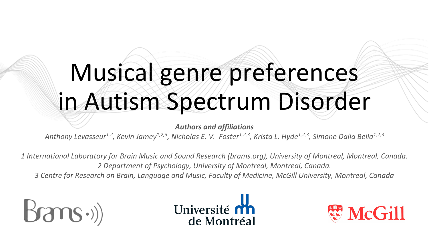# Musical genre preferences in Autism Spectrum Disorder

*Authors and affiliations*

Anthony Levasseur<sup>1,2</sup>, Kevin Jamey<sup>1,2,3</sup>, Nicholas E. V. Foster<sup>1,2,3</sup>, Krista L. Hyde<sup>1,2,3</sup>, Simone Dalla Bella<sup>1,2,3</sup>

*1 International Laboratory for Brain Music and Sound Research (brams.org), University of Montreal, Montreal, Canada. 2 Department of Psychology, University of Montreal, Montreal, Canada.*

*3 Centre for Research on Brain, Language and Music, Faculty of Medicine, McGill University, Montreal, Canada*





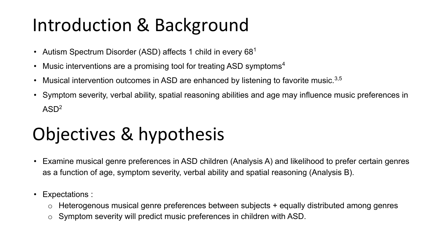#### Introduction & Background

- Autism Spectrum Disorder (ASD) affects 1 child in every  $68<sup>1</sup>$
- Music interventions are a promising tool for treating ASD symptoms<sup>4</sup>
- Musical intervention outcomes in ASD are enhanced by listening to favorite music. $3,5$
- Symptom severity, verbal ability, spatial reasoning abilities and age may influence music preferences in  $ASD<sup>2</sup>$

## Objectives & hypothesis

- Examine musical genre preferences in ASD children (Analysis A) and likelihood to prefer certain genres as a function of age, symptom severity, verbal ability and spatial reasoning (Analysis B).
- Expectations :
	- Heterogenous musical genre preferences between subjects + equally distributed among genres
	- o Symptom severity will predict music preferences in children with ASD.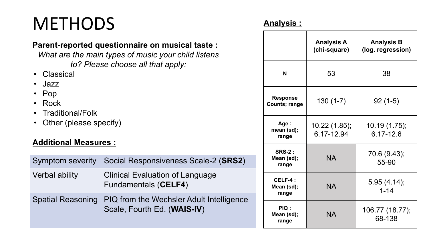## **METHODS**

#### **Parent-reported questionnaire on musical taste :**

*What are the main types of music your child listens to? Please choose all that apply:* 

- Classical
- Jazz
- Pop
- Rock
- Traditional/Folk
- Other (please specify)

#### **Additional Measures :**

| <b>Symptom severity</b>  | Social Responsiveness Scale-2 (SRS2)                                    |  |
|--------------------------|-------------------------------------------------------------------------|--|
| <b>Verbal ability</b>    | Clinical Evaluation of Language<br><b>Fundamentals (CELF4)</b>          |  |
| <b>Spatial Reasoning</b> | PIQ from the Wechsler Adult Intelligence<br>Scale, Fourth Ed. (WAIS-IV) |  |

#### **Analysis :**

|                                      | <b>Analysis A</b><br>(chi-square) | <b>Analysis B</b><br>(log. regression) |
|--------------------------------------|-----------------------------------|----------------------------------------|
| N                                    | 53                                | 38                                     |
| <b>Response</b><br>Counts; range     | $130(1-7)$                        | $92(1-5)$                              |
| Age:<br>mean (sd);<br>range          | 10.22 (1.85);<br>6.17-12.94       | 10.19 (1.75);<br>6.17-12.6             |
| <b>SRS-2:</b><br>Mean (sd);<br>range | <b>NA</b>                         | 70.6 (9.43);<br>55-90                  |
| CELF-4:<br>Mean (sd);<br>range       | <b>NA</b>                         | 5.95(4.14);<br>$1 - 14$                |
| <b>PIQ:</b><br>Mean (sd);<br>range   | <b>NA</b>                         | 106.77 (18.77);<br>68-138              |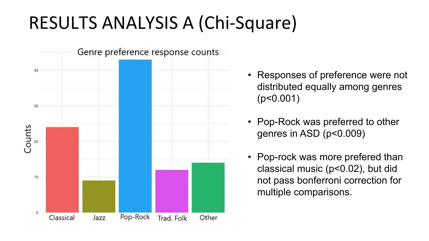## RESULTS ANALYSIS A (Chi-Square)



- Responses of preference were not distributed equally among genres (p<0.001)
- Pop-Rock was preferred to other genres in ASD (p<0.009)
- Pop-rock was more prefered than classical music (p<0.02), but did not pass bonferroni correction for multiple comparisons.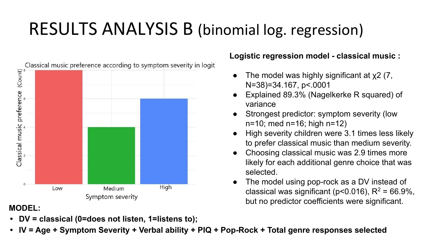## RESULTS ANALYSIS B (binomial log. regression)



**• DV = classical (0=does not listen, 1=listens to);** 

#### **Logistic regression model - classical music :**

- The model was highly significant at  $x^2$  (7, N=38)=34.167, p<.0001
- Explained 89.3% (Nagelkerke R squared) of variance
- Strongest predictor: symptom severity (low n=10; med n=16; high n=12)
- High severity children were 3.1 times less likely to prefer classical music than medium severity.
- Choosing classical music was 2.9 times more likely for each additional genre choice that was selected.
- The model using pop-rock as a DV instead of classical was significant (p<0.016),  $R^2$  = 66.9%, but no predictor coefficients were significant.<br>MODEL:<br>MODEL:
- **• IV = Age + Symptom Severity + Verbal ability + PIQ + Pop-Rock + Total genre responses selected**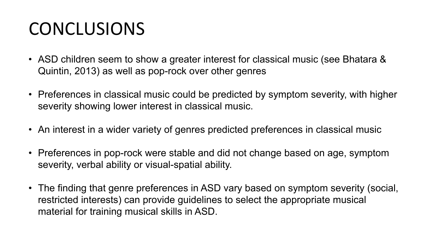## CONCLUSIONS

- ASD children seem to show a greater interest for classical music (see Bhatara & Quintin, 2013) as well as pop-rock over other genres
- Preferences in classical music could be predicted by symptom severity, with higher severity showing lower interest in classical music.
- An interest in a wider variety of genres predicted preferences in classical music
- Preferences in pop-rock were stable and did not change based on age, symptom severity, verbal ability or visual-spatial ability.
- The finding that genre preferences in ASD vary based on symptom severity (social, restricted interests) can provide guidelines to select the appropriate musical material for training musical skills in ASD.